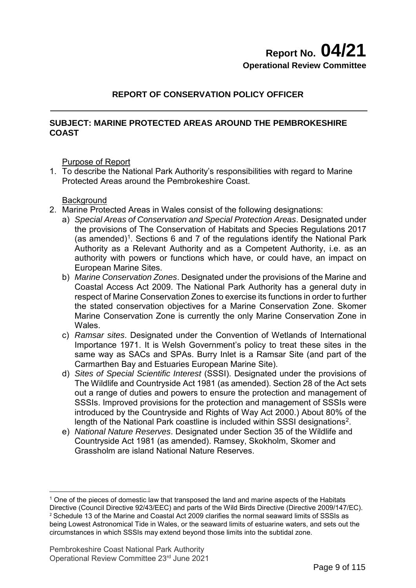## **Report No. 04/21 Operational Review Committee**

## **REPORT OF CONSERVATION POLICY OFFICER**

## **SUBJECT: MARINE PROTECTED AREAS AROUND THE PEMBROKESHIRE COAST**

Purpose of Report

1. To describe the National Park Authority's responsibilities with regard to Marine Protected Areas around the Pembrokeshire Coast.

**Background** 

- 2. Marine Protected Areas in Wales consist of the following designations:
	- a) *Special Areas of Conservation and Special Protection Areas*. Designated under the provisions of The Conservation of Habitats and Species Regulations 2017 (as amended)<sup>1</sup>. Sections 6 and 7 of the regulations identify the National Park Authority as a Relevant Authority and as a Competent Authority, i.e. as an authority with powers or functions which have, or could have, an impact on European Marine Sites.
	- b) *Marine Conservation Zones*. Designated under the provisions of the Marine and Coastal Access Act 2009. The National Park Authority has a general duty in respect of Marine Conservation Zones to exercise its functions in order to further the stated conservation objectives for a Marine Conservation Zone. Skomer Marine Conservation Zone is currently the only Marine Conservation Zone in Wales.
	- c) *Ramsar sites*. Designated under the Convention of Wetlands of International Importance 1971. It is Welsh Government's policy to treat these sites in the same way as SACs and SPAs. Burry Inlet is a Ramsar Site (and part of the Carmarthen Bay and Estuaries European Marine Site).
	- d) *Sites of Special Scientific Interest* (SSSI). Designated under the provisions of The Wildlife and Countryside Act 1981 (as amended). Section 28 of the Act sets out a range of duties and powers to ensure the protection and management of SSSIs. Improved provisions for the protection and management of SSSIs were introduced by the Countryside and Rights of Way Act 2000.) About 80% of the length of the National Park coastline is included within SSSI designations<sup>[2](#page-0-1)</sup>.
	- e) *National Nature Reserves*. Designated under Section 35 of the Wildlife and Countryside Act 1981 (as amended). Ramsey, Skokholm, Skomer and Grassholm are island National Nature Reserves.

<span id="page-0-1"></span><span id="page-0-0"></span><sup>-</sup><sup>1</sup> One of the pieces of domestic law that transposed the land and marine aspects of the Habitats Directive (Council Directive 92/43/EEC) and parts of the Wild Birds Directive (Directive 2009/147/EC). <sup>2</sup> Schedule 13 of the Marine and Coastal Act 2009 clarifies the normal seaward limits of SSSIs as being Lowest Astronomical Tide in Wales, or the seaward limits of estuarine waters, and sets out the circumstances in which SSSIs may extend beyond those limits into the subtidal zone.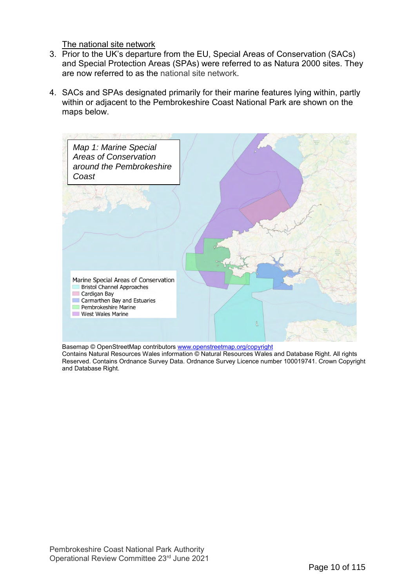The national site network

- 3. Prior to the UK's departure from the EU, Special Areas of Conservation (SACs) and Special Protection Areas (SPAs) were referred to as Natura 2000 sites. They are now referred to as the national site network.
- 4. SACs and SPAs designated primarily for their marine features lying within, partly within or adjacent to the Pembrokeshire Coast National Park are shown on the maps below.



Basemap © OpenStreetMap contributors <u>www.openstreetmap.org/copyright</u>

Contains Natural Resources Wales information © Natural Resources Wales and Database Right. All rights Reserved. Contains Ordnance Survey Data. Ordnance Survey Licence number 100019741. Crown Copyright and Database Right.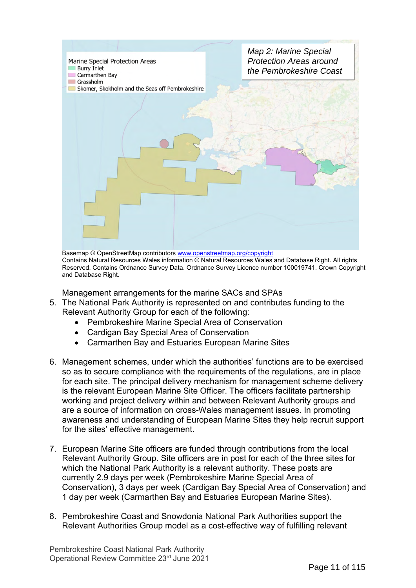

Basemap © OpenStreetMap contributors [www.openstreetmap.org/copyright](http://www.openstreetmap.org/copyright) Contains Natural Resources Wales information © Natural Resources Wales and Database Right. All rights Reserved. Contains Ordnance Survey Data. Ordnance Survey Licence number 100019741. Crown Copyright and Database Right.

### Management arrangements for the marine SACs and SPAs

- 5. The National Park Authority is represented on and contributes funding to the Relevant Authority Group for each of the following:
	- Pembrokeshire Marine Special Area of Conservation
	- Cardigan Bay Special Area of Conservation
	- Carmarthen Bay and Estuaries European Marine Sites
- 6. Management schemes, under which the authorities' functions are to be exercised so as to secure compliance with the requirements of the regulations, are in place for each site. The principal delivery mechanism for management scheme delivery is the relevant European Marine Site Officer. The officers facilitate partnership working and project delivery within and between Relevant Authority groups and are a source of information on cross-Wales management issues. In promoting awareness and understanding of European Marine Sites they help recruit support for the sites' effective management.
- 7. European Marine Site officers are funded through contributions from the local Relevant Authority Group. Site officers are in post for each of the three sites for which the National Park Authority is a relevant authority. These posts are currently 2.9 days per week (Pembrokeshire Marine Special Area of Conservation), 3 days per week (Cardigan Bay Special Area of Conservation) and 1 day per week (Carmarthen Bay and Estuaries European Marine Sites).
- 8. Pembrokeshire Coast and Snowdonia National Park Authorities support the Relevant Authorities Group model as a cost-effective way of fulfilling relevant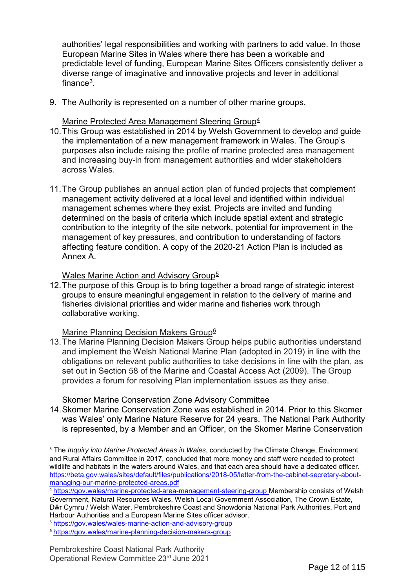authorities' legal responsibilities and working with partners to add value. In those European Marine Sites in Wales where there has been a workable and predictable level of funding, European Marine Sites Officers consistently deliver a diverse range of imaginative and innovative projects and lever in additional finance[3.](#page-3-0)

9. The Authority is represented on a number of other marine groups.

### Marine Protected Area Management Steering Group<sup>[4](#page-3-1)</sup>

- 10.This Group was established in 2014 by Welsh Government to develop and guide the implementation of a new management framework in Wales. The Group's purposes also include raising the profile of marine protected area management and increasing buy-in from management authorities and wider stakeholders across Wales.
- 11.The Group publishes an annual action plan of funded projects that complement management activity delivered at a local level and identified within individual management schemes where they exist. Projects are invited and funding determined on the basis of criteria which include spatial extent and strategic contribution to the integrity of the site network, potential for improvement in the management of key pressures, and contribution to understanding of factors affecting feature condition. A copy of the 2020-21 Action Plan is included as Annex A.

## Wales Marine Action and Advisory Group<sup>[5](#page-3-2)</sup>

12.The purpose of this Group is to bring together a broad range of strategic interest groups to ensure meaningful engagement in relation to the delivery of marine and fisheries divisional priorities and wider marine and fisheries work through collaborative working.

Marine Planning Decision Makers Group<sup>[6](#page-3-3)</sup>

13.The Marine Planning Decision Makers Group helps public authorities understand and implement the Welsh National Marine Plan (adopted in 2019) in line with the obligations on relevant public authorities to take decisions in line with the plan, as set out in Section 58 of the Marine and Coastal Access Act (2009). The Group provides a forum for resolving Plan implementation issues as they arise.

## Skomer Marine Conservation Zone Advisory Committee

14.Skomer Marine Conservation Zone was established in 2014. Prior to this Skomer was Wales' only Marine Nature Reserve for 24 years. The National Park Authority is represented, by a Member and an Officer, on the Skomer Marine Conservation

<u>.</u>

<span id="page-3-0"></span><sup>3</sup> The *Inquiry into Marine Protected Areas in Wales*, conducted by the Climate Change, Environment and Rural Affairs Committee in 2017, concluded that more money and staff were needed to protect wildlife and habitats in the waters around Wales, and that each area should have a dedicated officer. [https://beta.gov.wales/sites/default/files/publications/2018-05/letter-from-the-cabinet-secretary-about](https://beta.gov.wales/sites/default/files/publications/2018-05/letter-from-the-cabinet-secretary-about-managing-our-marine-protected-areas.pdf)[managing-our-marine-protected-areas.pdf](https://beta.gov.wales/sites/default/files/publications/2018-05/letter-from-the-cabinet-secretary-about-managing-our-marine-protected-areas.pdf)

<span id="page-3-1"></span><sup>4</sup> <https://gov.wales/marine-protected-area-management-steering-group> Membership consists of Welsh Government, Natural Resources Wales, Welsh Local Government Association, The Crown Estate, Dŵr Cymru / Welsh Water, Pembrokeshire Coast and Snowdonia National Park Authorities, Port and Harbour Authorities and a European Marine Sites officer advisor.

<span id="page-3-2"></span><sup>5</sup> <https://gov.wales/wales-marine-action-and-advisory-group>

<span id="page-3-3"></span><sup>6</sup> <https://gov.wales/marine-planning-decision-makers-group>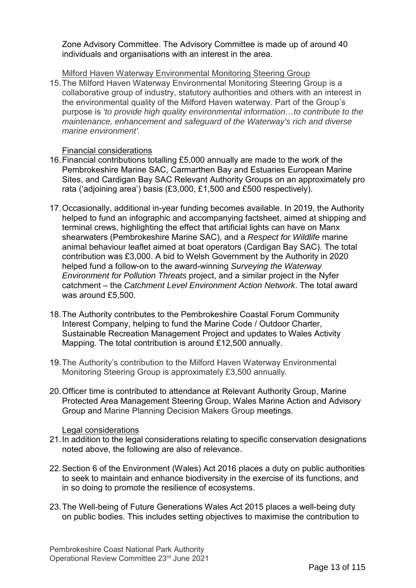Zone Advisory Committee. The Advisory Committee is made up of around 40 individuals and organisations with an interest in the area.

Milford Haven Waterway Environmental Monitoring Steering Group

15.The Milford Haven Waterway Environmental Monitoring Steering Group is a collaborative group of industry, statutory authorities and others with an interest in the environmental quality of the Milford Haven waterway. Part of the Group's purpose is *'to provide high quality environmental information…to contribute to the maintenance, enhancement and safeguard of the Waterway's rich and diverse marine environment'.*

Financial considerations

- 16.Financial contributions totalling £5,000 annually are made to the work of the Pembrokeshire Marine SAC, Carmarthen Bay and Estuaries European Marine Sites, and Cardigan Bay SAC Relevant Authority Groups on an approximately pro rata ('adjoining area') basis (£3,000, £1,500 and £500 respectively).
- 17.Occasionally, additional in-year funding becomes available. In 2019, the Authority helped to fund an infographic and accompanying factsheet, aimed at shipping and terminal crews, highlighting the effect that artificial lights can have on Manx shearwaters (Pembrokeshire Marine SAC), and a *Respect for Wildlife* marine animal behaviour leaflet aimed at boat operators (Cardigan Bay SAC). The total contribution was £3,000. A bid to Welsh Government by the Authority in 2020 helped fund a follow-on to the award-winning *Surveying the Waterway Environment for Pollution Threats* project, and a similar project in the Nyfer catchment – the *Catchment Level Environment Action Network*. The total award was around £5,500.
- 18.The Authority contributes to the Pembrokeshire Coastal Forum Community Interest Company, helping to fund the Marine Code / Outdoor Charter, Sustainable Recreation Management Project and updates to Wales Activity Mapping. The total contribution is around £12,500 annually.
- 19.The Authority's contribution to the Milford Haven Waterway Environmental Monitoring Steering Group is approximately £3,500 annually.
- 20.Officer time is contributed to attendance at Relevant Authority Group, Marine Protected Area Management Steering Group, Wales Marine Action and Advisory Group and Marine Planning Decision Makers Group meetings.

Legal considerations

- 21.In addition to the legal considerations relating to specific conservation designations noted above, the following are also of relevance.
- 22.Section 6 of the Environment (Wales) Act 2016 places a duty on public authorities to seek to maintain and enhance biodiversity in the exercise of its functions, and in so doing to promote the resilience of ecosystems.
- 23.The Well-being of Future Generations Wales Act 2015 places a well-being duty on public bodies. This includes setting objectives to maximise the contribution to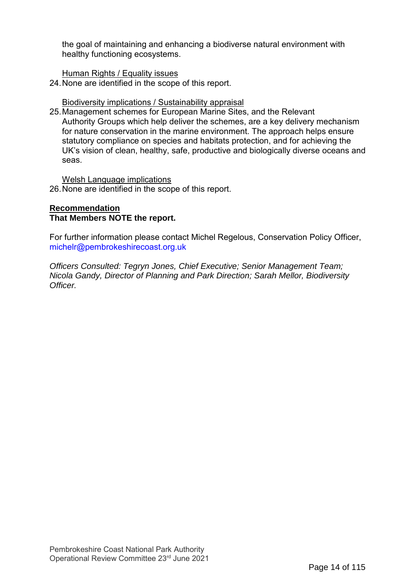the goal of maintaining and enhancing a biodiverse natural environment with healthy functioning ecosystems.

Human Rights / Equality issues

24.None are identified in the scope of this report.

Biodiversity implications / Sustainability appraisal

25.Management schemes for European Marine Sites, and the Relevant Authority Groups which help deliver the schemes, are a key delivery mechanism for nature conservation in the marine environment. The approach helps ensure statutory compliance on species and habitats protection, and for achieving the UK's vision of clean, healthy, safe, productive and biologically diverse oceans and seas.

#### Welsh Language implications

26.None are identified in the scope of this report.

## **Recommendation That Members NOTE the report.**

For further information please contact Michel Regelous, Conservation Policy Officer, [michelr@pembrokeshirecoast.org.uk](mailto:michelr@pembrokeshirecoast.org.uk)

*Officers Consulted: Tegryn Jones, Chief Executive; Senior Management Team; Nicola Gandy, Director of Planning and Park Direction; Sarah Mellor, Biodiversity Officer.*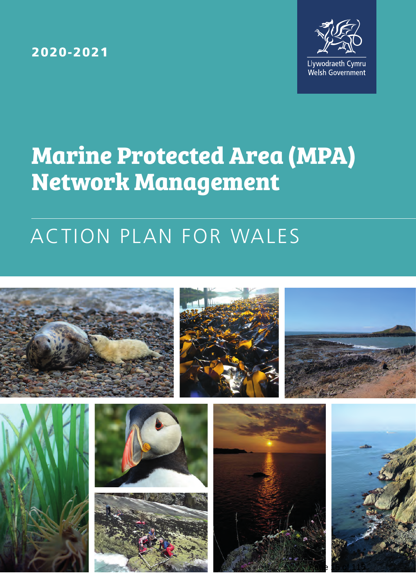2020-2021



# **Marine Protected Area (MPA) Network Management**

# ACTION PLAN FOR WALES

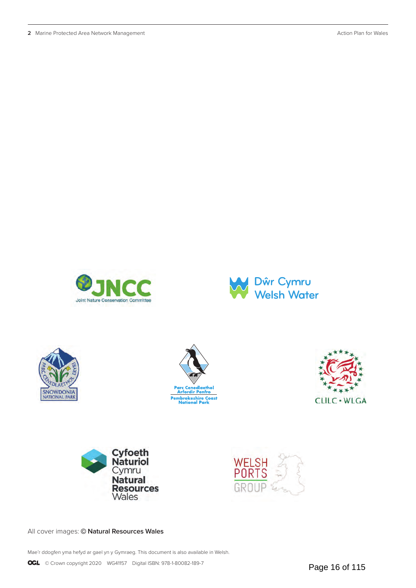**2** Marine Protected Area Network Management Action Plan for Wales















All cover images: © **Natural Resources Wales**

Mae'r ddogfen yma hefyd ar gael yn y Gymraeg. This document is also available in Welsh.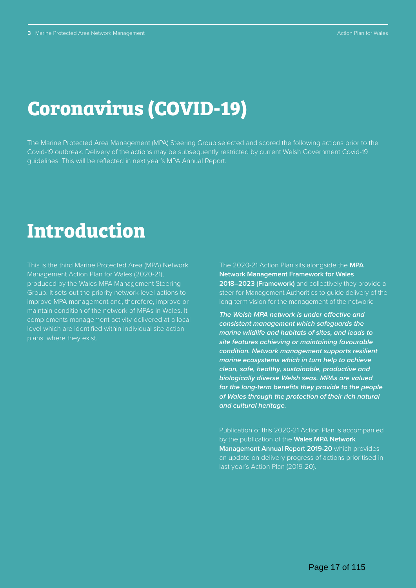## **Coronavirus (COVID-19)**

The Marine Protected Area Management (MPA) Steering Group selected and scored the following actions prior to the Covid-19 outbreak. Delivery of the actions may be subsequently restricted by current Welsh Government Covid-19 guidelines. This will be reflected in next year's MPA Annual Report.

## **Introduction**

This is the third Marine Protected Area (MPA) Network Management Action Plan for Wales (2020-21), produced by the Wales MPA Management Steering Group. It sets out the priority network-level actions to improve MPA management and, therefore, improve or maintain condition of the network of MPAs in Wales. It complements management activity delivered at a local level which are identified within individual site action plans, where they exist.

The 2020-21 Action Plan sits alongside the **MPA Network Management Framework for Wales 2018–2023 (Framework)** and collectively they provide a steer for Management Authorities to guide delivery of the long-term vision for the management of the network:

*The Welsh MPA network is under effective and consistent management which safeguards the marine wildlife and habitats of sites, and leads to site features achieving or maintaining favourable condition. Network management supports resilient marine ecosystems which in turn help to achieve clean, safe, healthy, sustainable, productive and biologically diverse Welsh seas. MPAs are valued for the long-term benefits they provide to the people of Wales through the protection of their rich natural and cultural heritage.*

Publication of this 2020-21 Action Plan is accompanied by the publication of the **[Wales MPA Network](https://gov.wales/marine-protected-area-network-management-annual-report-2019-2020)  [Management Annual Report 2019-20](https://gov.wales/marine-protected-area-network-management-annual-report-2019-2020)** which provides an update on delivery progress of actions prioritised in last year's Action Plan (2019-20).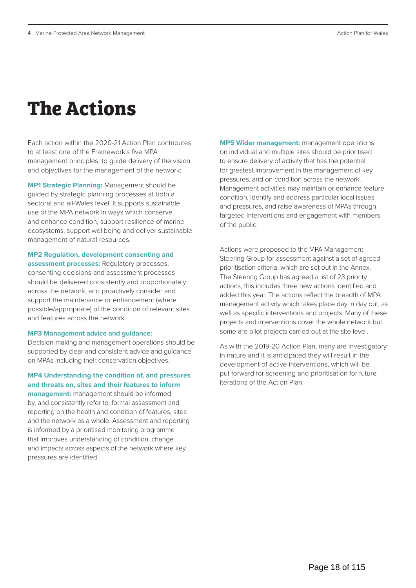## **The Actions**

Each action within the 2020-21 Action Plan contributes to at least one of the Framework's five MPA management principles, to guide delivery of the vision and objectives for the management of the network:

**MP1 Strategic Planning:** Management should be guided by strategic planning processes at both a sectoral and all-Wales level. It supports sustainable use of the MPA network in ways which conserve and enhance condition, support resilience of marine ecosystems, support wellbeing and deliver sustainable management of natural resources.

#### **MP2 Regulation, development consenting and**

**assessment processes:** Regulatory processes, consenting decisions and assessment processes should be delivered consistently and proportionately across the network, and proactively consider and support the maintenance or enhancement (where possible/appropriate) of the condition of relevant sites and features across the network.

#### **MP3 Management advice and guidance:**

Decision-making and management operations should be supported by clear and consistent advice and guidance on MPAs including their conservation objectives.

#### **MP4 Understanding the condition of, and pressures and threats on, sites and their features to inform**

**management:** management should be informed by, and consistently refer to, formal assessment and reporting on the health and condition of features, sites and the network as a whole. Assessment and reporting is informed by a prioritised monitoring programme that improves understanding of condition, change and impacts across aspects of the network where key pressures are identified.

**MP5 Wider management:** management operations on individual and multiple sites should be prioritised to ensure delivery of activity that has the potential for greatest improvement in the management of key pressures, and on condition across the network. Management activities may maintain or enhance feature condition, identify and address particular local issues and pressures, and raise awareness of MPAs through targeted interventions and engagement with members of the public.

Actions were proposed to the MPA Management Steering Group for assessment against a set of agreed prioritisation criteria, which are set out in the Annex. The Steering Group has agreed a list of 23 priority actions, this includes three new actions identified and added this year. The actions reflect the breadth of MPA management activity which takes place day in day out, as well as specific interventions and projects. Many of these projects and interventions cover the whole network but some are pilot projects carried out at the site level.

As with the 2019-20 Action Plan, many are investigatory in nature and it is anticipated they will result in the development of active interventions, which will be put forward for screening and prioritisation for future iterations of the Action Plan.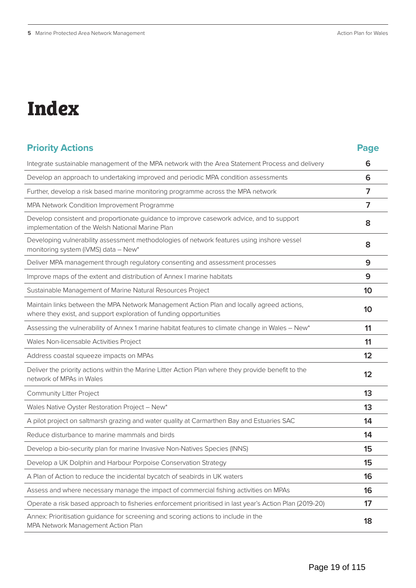# **Index**

| <b>Priority Actions</b>                                                                                                                                         | <b>Page</b>    |
|-----------------------------------------------------------------------------------------------------------------------------------------------------------------|----------------|
| Integrate sustainable management of the MPA network with the Area Statement Process and delivery                                                                | 6              |
| Develop an approach to undertaking improved and periodic MPA condition assessments                                                                              | 6              |
| Further, develop a risk based marine monitoring programme across the MPA network                                                                                | 7              |
| MPA Network Condition Improvement Programme                                                                                                                     | $\overline{7}$ |
| Develop consistent and proportionate guidance to improve casework advice, and to support<br>implementation of the Welsh National Marine Plan                    | 8              |
| Developing vulnerability assessment methodologies of network features using inshore vessel<br>monitoring system (iVMS) data - New*                              | 8              |
| Deliver MPA management through regulatory consenting and assessment processes                                                                                   | 9              |
| Improve maps of the extent and distribution of Annex I marine habitats                                                                                          | 9              |
| Sustainable Management of Marine Natural Resources Project                                                                                                      | 10             |
| Maintain links between the MPA Network Management Action Plan and locally agreed actions,<br>where they exist, and support exploration of funding opportunities | 10             |
| Assessing the vulnerability of Annex 1 marine habitat features to climate change in Wales - New*                                                                | 11             |
| Wales Non-licensable Activities Project                                                                                                                         | 11             |
| Address coastal squeeze impacts on MPAs                                                                                                                         | 12             |
| Deliver the priority actions within the Marine Litter Action Plan where they provide benefit to the<br>network of MPAs in Wales                                 | 12             |
| <b>Community Litter Project</b>                                                                                                                                 | 13             |
| Wales Native Oyster Restoration Project - New*                                                                                                                  | 13             |
| A pilot project on saltmarsh grazing and water quality at Carmarthen Bay and Estuaries SAC                                                                      | 14             |
| Reduce disturbance to marine mammals and birds                                                                                                                  | 14             |
| Develop a bio-security plan for marine Invasive Non-Natives Species (INNS)                                                                                      | 15             |
| Develop a UK Dolphin and Harbour Porpoise Conservation Strategy                                                                                                 | 15             |
| A Plan of Action to reduce the incidental bycatch of seabirds in UK waters                                                                                      | 16             |
| Assess and where necessary manage the impact of commercial fishing activities on MPAs                                                                           | 16             |
| Operate a risk based approach to fisheries enforcement prioritised in last year's Action Plan (2019-20)                                                         | 17             |
| Annex: Prioritisation guidance for screening and scoring actions to include in the<br>MPA Network Management Action Plan                                        | 18             |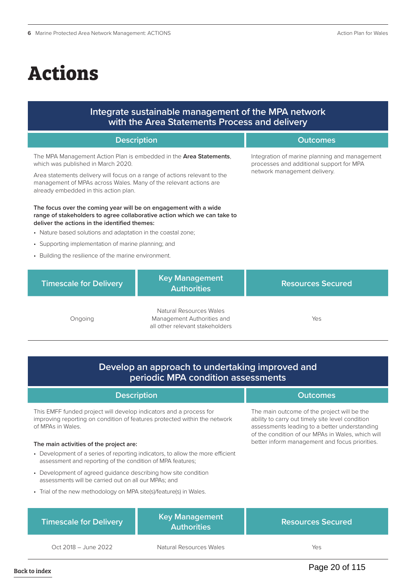# **Actions**

## **Integrate sustainable management of the MPA network with the Area Statements Process and delivery**

|                                                                                                                                                                                                                                                                                                             | <b>Description</b>                                                                       | <b>Outcomes</b>                                                                                                           |
|-------------------------------------------------------------------------------------------------------------------------------------------------------------------------------------------------------------------------------------------------------------------------------------------------------------|------------------------------------------------------------------------------------------|---------------------------------------------------------------------------------------------------------------------------|
| The MPA Management Action Plan is embedded in the <b>Area Statements</b> ,<br>which was published in March 2020.<br>Area statements delivery will focus on a range of actions relevant to the<br>management of MPAs across Wales. Many of the relevant actions are<br>already embedded in this action plan. |                                                                                          | Integration of marine planning and management<br>processes and additional support for MPA<br>network management delivery. |
| The focus over the coming year will be on engagement with a wide<br>range of stakeholders to agree collaborative action which we can take to<br>deliver the actions in the identified themes:<br>• Nature based solutions and adaptation in the coastal zone;                                               |                                                                                          |                                                                                                                           |
| • Supporting implementation of marine planning; and                                                                                                                                                                                                                                                         |                                                                                          |                                                                                                                           |
| • Building the resilience of the marine environment.                                                                                                                                                                                                                                                        |                                                                                          |                                                                                                                           |
| <b>Timescale for Delivery</b>                                                                                                                                                                                                                                                                               | <b>Key Management</b><br><b>Authorities</b>                                              | <b>Resources Secured</b>                                                                                                  |
| Ongoing                                                                                                                                                                                                                                                                                                     | Natural Resources Wales<br>Management Authorities and<br>all other relevant stakeholders | Yes                                                                                                                       |

## **Develop an approach to undertaking improved and periodic MPA condition assessments**

| <b>Description</b>                                                                                                                                                   | <b>Outcomes</b>                                                                                                                                                                                       |
|----------------------------------------------------------------------------------------------------------------------------------------------------------------------|-------------------------------------------------------------------------------------------------------------------------------------------------------------------------------------------------------|
| This EMFF funded project will develop indicators and a process for<br>improving reporting on condition of features protected within the network<br>of MPAs in Wales. | The main outcome of the project will be the<br>ability to carry out timely site level condition<br>assessments leading to a better understanding<br>of the condition of our MPAs in Wales, which will |
| The main activities of the project are:                                                                                                                              | better inform management and focus priorities.                                                                                                                                                        |
| • Development of a series of reporting indicators, to allow the more efficient<br>assessment and reporting of the condition of MPA features;                         |                                                                                                                                                                                                       |
| • Development of agreed quidance describing how site condition<br>assessments will be carried out on all our MPAs; and                                               |                                                                                                                                                                                                       |
| • Trial of the new methodology on MPA site(s)/feature(s) in Wales.                                                                                                   |                                                                                                                                                                                                       |

| <b>Timescale for Delivery</b> | <b>Key Management</b><br><b>Authorities</b> | <b>Resources Secured</b> |
|-------------------------------|---------------------------------------------|--------------------------|
| Oct 2018 – June 2022          | Natural Resources Wales                     | Yes                      |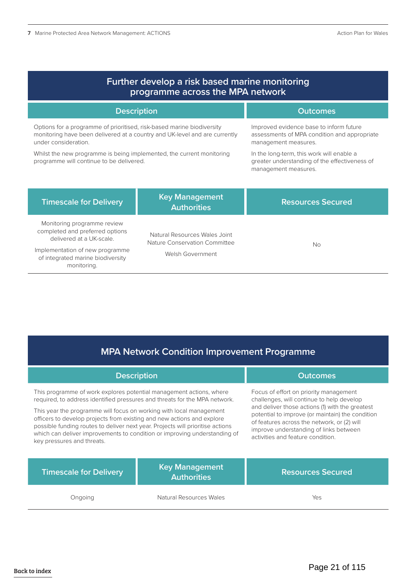| Further develop a risk based marine monitoring<br>programme across the MPA network                                                                                           |                                                                |                                                                                                                    |
|------------------------------------------------------------------------------------------------------------------------------------------------------------------------------|----------------------------------------------------------------|--------------------------------------------------------------------------------------------------------------------|
| <b>Description</b>                                                                                                                                                           |                                                                | <b>Outcomes</b>                                                                                                    |
| Options for a programme of prioritised, risk-based marine biodiversity<br>monitoring have been delivered at a country and UK-level and are currently<br>under consideration. |                                                                | Improved evidence base to inform future<br>assessments of MPA condition and appropriate<br>management measures.    |
| Whilst the new programme is being implemented, the current monitoring<br>programme will continue to be delivered.                                                            |                                                                | In the long-term, this work will enable a<br>greater understanding of the effectiveness of<br>management measures. |
| <b>Timescale for Delivery</b>                                                                                                                                                | <b>Key Management</b><br><b>Authorities</b>                    | <b>Resources Secured</b>                                                                                           |
| Monitoring programme review<br>completed and preferred options<br>delivered at a UK-scale.                                                                                   | Natural Resources Wales Joint<br>Nature Conservation Committee | <b>No</b>                                                                                                          |
| Implementation of new programme<br>of integrated marine biodiversity<br>monitoring.                                                                                          | Welsh Government                                               |                                                                                                                    |

## **MPA Network Condition Improvement Programme**

**Description Outcomes** 

| Ongoing                                                                        | Natural Resources Wales                     | Yes                                              |  |
|--------------------------------------------------------------------------------|---------------------------------------------|--------------------------------------------------|--|
| <b>Timescale for Delivery</b>                                                  | <b>Key Management</b><br><b>Authorities</b> | <b>Resources Secured</b>                         |  |
| This year the programme will focus on working with local management            |                                             | and deliver those actions (1) with the greatest  |  |
| officers to develop projects from existing and new actions and explore         |                                             | potential to improve (or maintain) the condition |  |
| possible funding routes to deliver next year. Projects will prioritise actions |                                             | of features across the network, or (2) will      |  |
| which can deliver improvements to condition or improving understanding of      |                                             | improve understanding of links between           |  |
| key pressures and threats.                                                     |                                             | activities and feature condition.                |  |
| This programme of work explores potential management actions, where            |                                             | Focus of effort on priority management           |  |
| required, to address identified pressures and threats for the MPA network.     |                                             | challenges, will continue to help develop        |  |

Page 21 of 115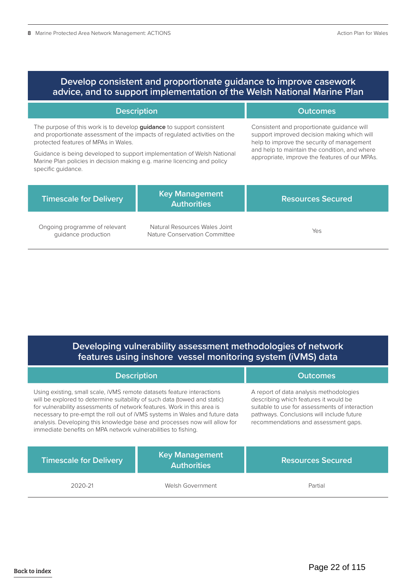| Develop consistent and proportionate guidance to improve casework<br>advice, and to support implementation of the Welsh National Marine Plan                                                                                                                                                                                                                                    |                                                                |                                                                                                                                                                                                                                            |
|---------------------------------------------------------------------------------------------------------------------------------------------------------------------------------------------------------------------------------------------------------------------------------------------------------------------------------------------------------------------------------|----------------------------------------------------------------|--------------------------------------------------------------------------------------------------------------------------------------------------------------------------------------------------------------------------------------------|
| <b>Description</b>                                                                                                                                                                                                                                                                                                                                                              |                                                                | <b>Outcomes</b>                                                                                                                                                                                                                            |
| The purpose of this work is to develop <b>guidance</b> to support consistent<br>and proportionate assessment of the impacts of regulated activities on the<br>protected features of MPAs in Wales.<br>Guidance is being developed to support implementation of Welsh National<br>Marine Plan policies in decision making e.g. marine licencing and policy<br>specific quidance. |                                                                | Consistent and proportionate quidance will<br>support improved decision making which will<br>help to improve the security of management<br>and help to maintain the condition, and where<br>appropriate, improve the features of our MPAs. |
| <b>Timescale for Delivery</b>                                                                                                                                                                                                                                                                                                                                                   | <b>Key Management</b><br><b>Authorities</b>                    | <b>Resources Secured</b>                                                                                                                                                                                                                   |
| Ongoing programme of relevant<br>quidance production                                                                                                                                                                                                                                                                                                                            | Natural Resources Wales Joint<br>Nature Conservation Committee | Yes                                                                                                                                                                                                                                        |

## **Developing vulnerability assessment methodologies of network features using inshore vessel monitoring system (iVMS) data**

| <b>Description</b>                                                                                                                                                                                                                                                                                                                                                                                                                                          |                                             | <b>Outcomes</b>                                                                                                                                                                                                         |
|-------------------------------------------------------------------------------------------------------------------------------------------------------------------------------------------------------------------------------------------------------------------------------------------------------------------------------------------------------------------------------------------------------------------------------------------------------------|---------------------------------------------|-------------------------------------------------------------------------------------------------------------------------------------------------------------------------------------------------------------------------|
| Using existing, small scale, iVMS remote datasets feature interactions<br>will be explored to determine suitability of such data (towed and static)<br>for vulnerability assessments of network features. Work in this area is<br>necessary to pre-empt the roll out of iVMS systems in Wales and future data<br>analysis. Developing this knowledge base and processes now will allow for<br>immediate benefits on MPA network vulnerabilities to fishing. |                                             | A report of data analysis methodologies<br>describing which features it would be<br>suitable to use for assessments of interaction<br>pathways. Conclusions will include future<br>recommendations and assessment gaps. |
| <b>Timescale for Delivery</b>                                                                                                                                                                                                                                                                                                                                                                                                                               | <b>Key Management</b><br><b>Authorities</b> | <b>Resources Secured</b>                                                                                                                                                                                                |
| 2020-21                                                                                                                                                                                                                                                                                                                                                                                                                                                     | Welsh Government                            | Partial                                                                                                                                                                                                                 |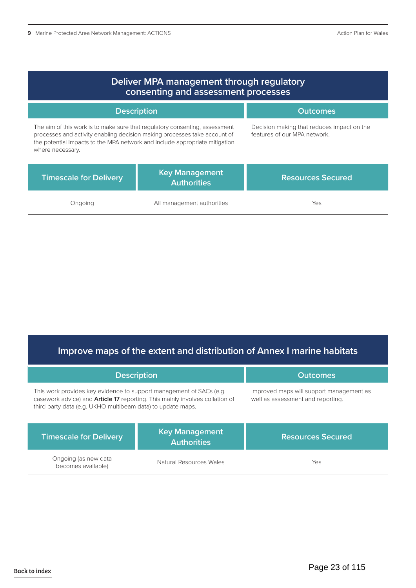| Deliver MPA management through regulatory<br>consenting and assessment processes                                                                                                                                                                            |                                             |                                                                            |
|-------------------------------------------------------------------------------------------------------------------------------------------------------------------------------------------------------------------------------------------------------------|---------------------------------------------|----------------------------------------------------------------------------|
| <b>Description</b>                                                                                                                                                                                                                                          |                                             | <b>Outcomes</b>                                                            |
| The aim of this work is to make sure that regulatory consenting, assessment<br>processes and activity enabling decision making processes take account of<br>the potential impacts to the MPA network and include appropriate mitigation<br>where necessary. |                                             | Decision making that reduces impact on the<br>features of our MPA network. |
| <b>Timescale for Delivery</b>                                                                                                                                                                                                                               | <b>Key Management</b><br><b>Authorities</b> | <b>Resources Secured</b>                                                   |
| Ongoing                                                                                                                                                                                                                                                     | All management authorities                  | Yes                                                                        |

## **Improve maps of the extent and distribution of Annex I marine habitats**

| <b>Description</b>                                                                                                                                                                                                        |                                             | <b>Outcomes</b>                                                               |
|---------------------------------------------------------------------------------------------------------------------------------------------------------------------------------------------------------------------------|---------------------------------------------|-------------------------------------------------------------------------------|
| This work provides key evidence to support management of SACs (e.g.<br>casework advice) and <b>Article 17</b> reporting. This mainly involves collation of<br>third party data (e.g. UKHO multibeam data) to update maps. |                                             | Improved maps will support management as<br>well as assessment and reporting. |
| <b>Timescale for Delivery</b>                                                                                                                                                                                             | <b>Key Management</b><br><b>Authorities</b> | <b>Resources Secured</b>                                                      |
| Ongoing (as new data<br>becomes available)                                                                                                                                                                                | Natural Resources Wales                     | Yes                                                                           |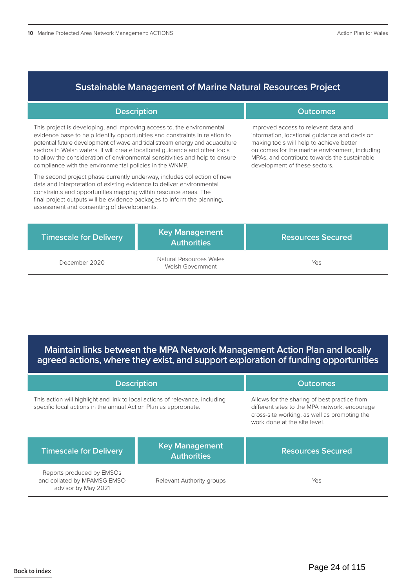## **Sustainable Management of Marine Natural Resources Project**

| <b>Description</b>                                                                                                                                                                                                                                                                                                                                                                                                                                              |                                             | <b>Outcomes</b>                                                                                                                                                                                                                                                      |
|-----------------------------------------------------------------------------------------------------------------------------------------------------------------------------------------------------------------------------------------------------------------------------------------------------------------------------------------------------------------------------------------------------------------------------------------------------------------|---------------------------------------------|----------------------------------------------------------------------------------------------------------------------------------------------------------------------------------------------------------------------------------------------------------------------|
| This project is developing, and improving access to, the environmental<br>evidence base to help identify opportunities and constraints in relation to<br>potential future development of wave and tidal stream energy and aquaculture<br>sectors in Welsh waters. It will create locational guidance and other tools<br>to allow the consideration of environmental sensitivities and help to ensure<br>compliance with the environmental policies in the WNMP. |                                             | Improved access to relevant data and<br>information, locational guidance and decision<br>making tools will help to achieve better<br>outcomes for the marine environment, including<br>MPAs, and contribute towards the sustainable<br>development of these sectors. |
| The second project phase currently underway, includes collection of new<br>data and interpretation of existing evidence to deliver environmental<br>constraints and opportunities mapping within resource areas. The<br>final project outputs will be evidence packages to inform the planning,<br>assessment and consenting of developments.                                                                                                                   |                                             |                                                                                                                                                                                                                                                                      |
| <b>Timescale for Delivery</b>                                                                                                                                                                                                                                                                                                                                                                                                                                   | <b>Key Management</b><br><b>Authorities</b> | <b>Resources Secured</b>                                                                                                                                                                                                                                             |

advisor by May 2021

December 2020 Natural Resources Wales itural Resources wales<br>Welsh Government Yes

**Maintain links between the MPA Network Management Action Plan and locally agreed actions, where they exist, and support exploration of funding opportunities**

| <b>Description</b>                                                                                                                               |                                             | <b>Outcomes</b>                                                                                                                                                               |
|--------------------------------------------------------------------------------------------------------------------------------------------------|---------------------------------------------|-------------------------------------------------------------------------------------------------------------------------------------------------------------------------------|
| This action will highlight and link to local actions of relevance, including<br>specific local actions in the annual Action Plan as appropriate. |                                             | Allows for the sharing of best practice from<br>different sites to the MPA network, encourage<br>cross-site working, as well as promoting the<br>work done at the site level. |
| <b>Timescale for Delivery</b>                                                                                                                    | <b>Key Management</b><br><b>Authorities</b> | <b>Resources Secured</b>                                                                                                                                                      |
| Reports produced by EMSOs<br>and collated by MPAMSG EMSO                                                                                         | Relevant Authority groups                   | Yes                                                                                                                                                                           |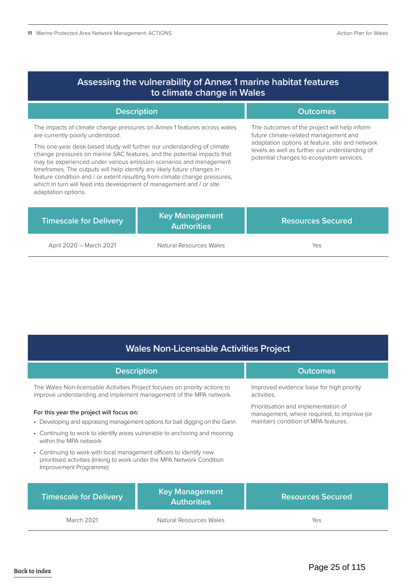| Assessing the vulnerability of Annex 1 marine habitat features<br>to climate change in Wales                                                                                                                                                                                                                                                                                                                                                                                                                                                                                                      |                                             |                                                                                                                                                                                                                                        |
|---------------------------------------------------------------------------------------------------------------------------------------------------------------------------------------------------------------------------------------------------------------------------------------------------------------------------------------------------------------------------------------------------------------------------------------------------------------------------------------------------------------------------------------------------------------------------------------------------|---------------------------------------------|----------------------------------------------------------------------------------------------------------------------------------------------------------------------------------------------------------------------------------------|
| <b>Description</b>                                                                                                                                                                                                                                                                                                                                                                                                                                                                                                                                                                                |                                             | <b>Outcomes</b>                                                                                                                                                                                                                        |
| The impacts of climate change pressures on Annex 1 features across wales<br>are currently poorly understood.<br>This one-year desk-based study will further our understanding of climate<br>change pressures on marine SAC features, and the potential impacts that<br>may be experienced under various emission scenarios and management<br>timeframes. The outputs will help identify any likely future changes in<br>feature condition and / or extent resulting from climate change pressures,<br>which in turn will feed into development of management and / or site<br>adaptation options. |                                             | The outcomes of the project will help inform<br>future climate-related management and<br>adaptation options at feature, site and network<br>levels as well as further our understanding of<br>potential changes to ecosystem services. |
| <b>Timescale for Delivery</b>                                                                                                                                                                                                                                                                                                                                                                                                                                                                                                                                                                     | <b>Key Management</b><br><b>Authorities</b> | <b>Resources Secured</b>                                                                                                                                                                                                               |
| April 2020 - March 2021                                                                                                                                                                                                                                                                                                                                                                                                                                                                                                                                                                           | Natural Resources Wales                     | Yes                                                                                                                                                                                                                                    |

## **Wales Non-Licensable Activities Project**

| <b>Description</b>                                                                                                                                                       |                                             | <b>Outcomes</b>                                                                                                            |
|--------------------------------------------------------------------------------------------------------------------------------------------------------------------------|---------------------------------------------|----------------------------------------------------------------------------------------------------------------------------|
| The Wales Non-licensable Activities Project focuses on priority actions to<br>improve understanding and implement management of the MPA network.                         |                                             | Improved evidence base for high priority<br>activities.                                                                    |
| For this year the project will focus on:<br>• Developing and appraising management options for bait digging on the Gann                                                  |                                             | Prioritisation and implementation of<br>management, where required, to improve (or<br>maintain) condition of MPA features. |
| • Continuing to work to identify areas vulnerable to anchoring and mooring<br>within the MPA network                                                                     |                                             |                                                                                                                            |
| • Continuing to work with local management officers to identify new<br>prioritised activities (linking to work under the MPA Network Condition<br>Improvement Programme) |                                             |                                                                                                                            |
| <b>Timescale for Delivery</b>                                                                                                                                            | <b>Key Management</b><br><b>Authorities</b> | <b>Resources Secured</b>                                                                                                   |
| <b>March 2021</b>                                                                                                                                                        | Natural Resources Wales                     | Yes                                                                                                                        |

Back to index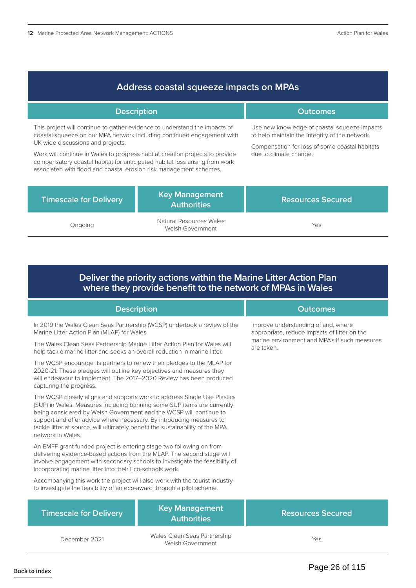| Address coastal squeeze impacts on MPAs                                                                                                                                                                                                                                                                                                                                                                                        |                                             |                                                                                                                                                                            |  |
|--------------------------------------------------------------------------------------------------------------------------------------------------------------------------------------------------------------------------------------------------------------------------------------------------------------------------------------------------------------------------------------------------------------------------------|---------------------------------------------|----------------------------------------------------------------------------------------------------------------------------------------------------------------------------|--|
| <b>Description</b>                                                                                                                                                                                                                                                                                                                                                                                                             | <b>Outcomes</b>                             |                                                                                                                                                                            |  |
| This project will continue to gather evidence to understand the impacts of<br>coastal squeeze on our MPA network including continued engagement with<br>UK wide discussions and projects.<br>Work will continue in Wales to progress habitat creation projects to provide<br>compensatory coastal habitat for anticipated habitat loss arising from work<br>associated with flood and coastal erosion risk management schemes. |                                             | Use new knowledge of coastal squeeze impacts<br>to help maintain the integrity of the network.<br>Compensation for loss of some coastal habitats<br>due to climate change. |  |
| <b>Timescale for Delivery</b>                                                                                                                                                                                                                                                                                                                                                                                                  | <b>Key Management</b><br><b>Authorities</b> | <b>Resources Secured</b>                                                                                                                                                   |  |
| Ongoing                                                                                                                                                                                                                                                                                                                                                                                                                        | Natural Resources Wales<br>Welsh Government | Yes                                                                                                                                                                        |  |

## **Deliver the priority actions within the Marine Litter Action Plan where they provide benefit to the network of MPAs in Wales**

| <b>Description</b>                                                                                                                                                                                                                                                                                                                                                                                       |                                                  | <b>Outcomes</b>                                                                                                                                    |
|----------------------------------------------------------------------------------------------------------------------------------------------------------------------------------------------------------------------------------------------------------------------------------------------------------------------------------------------------------------------------------------------------------|--------------------------------------------------|----------------------------------------------------------------------------------------------------------------------------------------------------|
| In 2019 the Wales Clean Seas Partnership (WCSP) undertook a review of the<br>Marine Litter Action Plan (MLAP) for Wales.<br>The Wales Clean Seas Partnership Marine Litter Action Plan for Wales will                                                                                                                                                                                                    |                                                  | Improve understanding of and, where<br>appropriate, reduce impacts of litter on the<br>marine environment and MPA's if such measures<br>are taken. |
| help tackle marine litter and seeks an overall reduction in marine litter.                                                                                                                                                                                                                                                                                                                               |                                                  |                                                                                                                                                    |
| The WCSP encourage its partners to renew their pledges to the MLAP for<br>2020-21. These pledges will outline key objectives and measures they<br>will endeavour to implement. The 2017-2020 Review has been produced<br>capturing the progress.                                                                                                                                                         |                                                  |                                                                                                                                                    |
| The WCSP closely aligns and supports work to address Single Use Plastics<br>(SUP) in Wales. Measures including banning some SUP items are currently<br>being considered by Welsh Government and the WCSP will continue to<br>support and offer advice where necessary. By introducing measures to<br>tackle litter at source, will ultimately benefit the sustainability of the MPA<br>network in Wales. |                                                  |                                                                                                                                                    |
| An EMFF grant funded project is entering stage two following on from<br>delivering evidence-based actions from the MLAP. The second stage will<br>involve engagement with secondary schools to investigate the feasibility of<br>incorporating marine litter into their Eco-schools work.                                                                                                                |                                                  |                                                                                                                                                    |
| Accompanying this work the project will also work with the tourist industry<br>to investigate the feasibility of an eco-award through a pilot scheme.                                                                                                                                                                                                                                                    |                                                  |                                                                                                                                                    |
| <b>Timescale for Delivery</b>                                                                                                                                                                                                                                                                                                                                                                            | <b>Key Management</b><br><b>Authorities</b>      | <b>Resources Secured</b>                                                                                                                           |
| December 2021                                                                                                                                                                                                                                                                                                                                                                                            | Wales Clean Seas Partnership<br>Welsh Government | Yes                                                                                                                                                |
|                                                                                                                                                                                                                                                                                                                                                                                                          |                                                  |                                                                                                                                                    |

## Page 26 of 115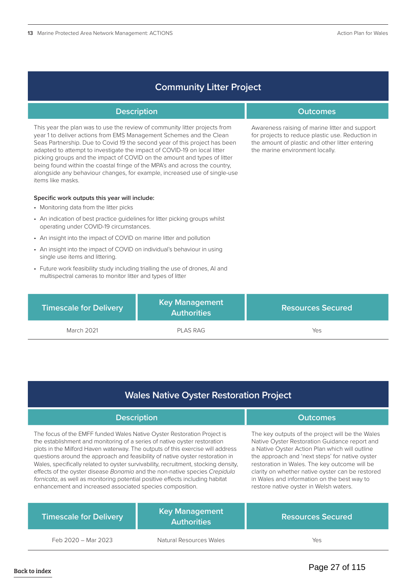| <b>Community Litter Project</b> |  |
|---------------------------------|--|
|                                 |  |

| <b>Description</b>                                                                                                                                                                                                                                                                                                                                                                                                                                                                                                                                                      |                                             | <b>Outcomes</b>                                                                                                                                                                          |
|-------------------------------------------------------------------------------------------------------------------------------------------------------------------------------------------------------------------------------------------------------------------------------------------------------------------------------------------------------------------------------------------------------------------------------------------------------------------------------------------------------------------------------------------------------------------------|---------------------------------------------|------------------------------------------------------------------------------------------------------------------------------------------------------------------------------------------|
| This year the plan was to use the review of community litter projects from<br>year 1 to deliver actions from EMS Management Schemes and the Clean<br>Seas Partnership. Due to Covid 19 the second year of this project has been<br>adapted to attempt to investigate the impact of COVID-19 on local litter<br>picking groups and the impact of COVID on the amount and types of litter<br>being found within the coastal fringe of the MPA's and across the country,<br>alongside any behaviour changes, for example, increased use of single-use<br>items like masks. |                                             | Awareness raising of marine litter and support<br>for projects to reduce plastic use. Reduction in<br>the amount of plastic and other litter entering<br>the marine environment locally. |
| Specific work outputs this year will include:                                                                                                                                                                                                                                                                                                                                                                                                                                                                                                                           |                                             |                                                                                                                                                                                          |
| • Monitoring data from the litter picks                                                                                                                                                                                                                                                                                                                                                                                                                                                                                                                                 |                                             |                                                                                                                                                                                          |
| • An indication of best practice quidelines for litter picking groups whilst<br>operating under COVID-19 circumstances.                                                                                                                                                                                                                                                                                                                                                                                                                                                 |                                             |                                                                                                                                                                                          |
| • An insight into the impact of COVID on marine litter and pollution                                                                                                                                                                                                                                                                                                                                                                                                                                                                                                    |                                             |                                                                                                                                                                                          |
| • An insight into the impact of COVID on individual's behaviour in using<br>single use items and littering.                                                                                                                                                                                                                                                                                                                                                                                                                                                             |                                             |                                                                                                                                                                                          |
| • Future work feasibility study including trialling the use of drones, AI and<br>multispectral cameras to monitor litter and types of litter                                                                                                                                                                                                                                                                                                                                                                                                                            |                                             |                                                                                                                                                                                          |
| <b>Timescale for Delivery</b>                                                                                                                                                                                                                                                                                                                                                                                                                                                                                                                                           | <b>Key Management</b><br><b>Authorities</b> | <b>Resources Secured</b>                                                                                                                                                                 |

March 2021 **PLAS RAG** Yes

## **Wales Native Oyster Restoration Project**

| <b>Description</b>                                                                                                                                                                                                                                                                                                                                                                                                                                                                                                                                                                                                                         |                                             | <b>Outcomes</b>                                                                                                                                                                                                                                                                                                                                                                                      |
|--------------------------------------------------------------------------------------------------------------------------------------------------------------------------------------------------------------------------------------------------------------------------------------------------------------------------------------------------------------------------------------------------------------------------------------------------------------------------------------------------------------------------------------------------------------------------------------------------------------------------------------------|---------------------------------------------|------------------------------------------------------------------------------------------------------------------------------------------------------------------------------------------------------------------------------------------------------------------------------------------------------------------------------------------------------------------------------------------------------|
| The focus of the EMFF funded Wales Native Oyster Restoration Project is<br>the establishment and monitoring of a series of native oyster restoration<br>plots in the Milford Haven waterway. The outputs of this exercise will address<br>questions around the approach and feasibility of native oyster restoration in<br>Wales, specifically related to oyster survivability, recruitment, stocking density,<br>effects of the oyster disease Bonamia and the non-native species Crepidula<br>fornicata, as well as monitoring potential positive effects including habitat<br>enhancement and increased associated species composition. |                                             | The key outputs of the project will be the Wales<br>Native Oyster Restoration Guidance report and<br>a Native Oyster Action Plan which will outline<br>the approach and 'next steps' for native oyster<br>restoration in Wales. The key outcome will be<br>clarity on whether native oyster can be restored<br>in Wales and information on the best way to<br>restore native oyster in Welsh waters. |
| <b>Timescale for Delivery</b>                                                                                                                                                                                                                                                                                                                                                                                                                                                                                                                                                                                                              | <b>Key Management</b><br><b>Authorities</b> | <b>Resources Secured</b>                                                                                                                                                                                                                                                                                                                                                                             |

Feb 2020 – Mar 2023 Natural Resources Wales Yes

Page 27 of 115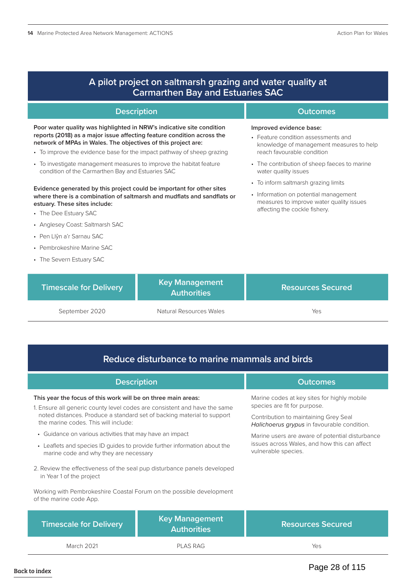| A pilot project on saltmarsh grazing and water quality at<br><b>Carmarthen Bay and Estuaries SAC</b>                                                                                                                                                                                                                                 |                                             |                                                                                                                                                            |  |
|--------------------------------------------------------------------------------------------------------------------------------------------------------------------------------------------------------------------------------------------------------------------------------------------------------------------------------------|---------------------------------------------|------------------------------------------------------------------------------------------------------------------------------------------------------------|--|
| <b>Description</b>                                                                                                                                                                                                                                                                                                                   |                                             | <b>Outcomes</b>                                                                                                                                            |  |
| Poor water quality was highlighted in NRW's indicative site condition<br>reports (2018) as a major issue affecting feature condition across the<br>network of MPAs in Wales. The objectives of this project are:<br>• To improve the evidence base for the impact pathway of sheep grazing                                           |                                             | Improved evidence base:<br>• Feature condition assessments and<br>knowledge of management measures to help<br>reach favourable condition                   |  |
| • To investigate management measures to improve the habitat feature<br>condition of the Carmarthen Bay and Estuaries SAC                                                                                                                                                                                                             |                                             | • The contribution of sheep faeces to marine<br>water quality issues                                                                                       |  |
| Evidence generated by this project could be important for other sites<br>where there is a combination of saltmarsh and mudflats and sandflats or<br>estuary. These sites include:<br>• The Dee Estuary SAC<br>• Anglesey Coast: Saltmarsh SAC<br>• Pen Llŷn a'r Sarnau SAC<br>• Pembrokeshire Marine SAC<br>• The Severn Estuary SAC |                                             | • To inform saltmarsh grazing limits<br>• Information on potential management<br>measures to improve water quality issues<br>affecting the cockle fishery. |  |
| <b>Timescale for Delivery</b>                                                                                                                                                                                                                                                                                                        | <b>Key Management</b><br><b>Authorities</b> | <b>Resources Secured</b>                                                                                                                                   |  |

September 2020 Matural Resources Wales

## **Reduce disturbance to marine mammals and birds**

| <b>Description</b>                                                                                                  |                                             | <b>Outcomes</b>                                                                      |
|---------------------------------------------------------------------------------------------------------------------|---------------------------------------------|--------------------------------------------------------------------------------------|
|                                                                                                                     |                                             |                                                                                      |
| This year the focus of this work will be on three main areas:                                                       |                                             | Marine codes at key sites for highly mobile                                          |
| 1. Ensure all generic county level codes are consistent and have the same                                           |                                             | species are fit for purpose.                                                         |
| noted distances. Produce a standard set of backing material to support<br>the marine codes. This will include:      |                                             | Contribution to maintaining Grey Seal<br>Halichoerus grypus in favourable condition. |
| • Guidance on various activities that may have an impact                                                            |                                             | Marine users are aware of potential disturbance                                      |
| • Leaflets and species ID quides to provide further information about the<br>marine code and why they are necessary |                                             | issues across Wales, and how this can affect<br>vulnerable species.                  |
| 2. Review the effectiveness of the seal pup disturbance panels developed<br>in Year 1 of the project                |                                             |                                                                                      |
| Working with Pembrokeshire Coastal Forum on the possible development<br>of the marine code App.                     |                                             |                                                                                      |
| <b>Timescale for Delivery</b>                                                                                       | <b>Key Management</b><br><b>Authorities</b> | <b>Resources Secured</b>                                                             |
| March 2021                                                                                                          | PLAS RAG                                    | Yes                                                                                  |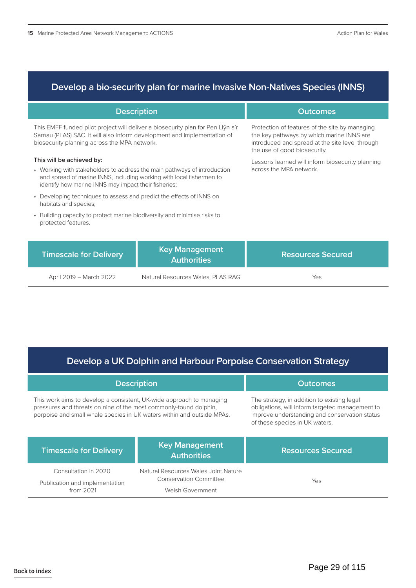## **Develop a bio-security plan for marine Invasive Non-Natives Species (INNS)**

| <b>Description</b>                                                                                                                                                                                                                    |                                             | <b>Outcomes</b>                                                                                                                                                                |
|---------------------------------------------------------------------------------------------------------------------------------------------------------------------------------------------------------------------------------------|---------------------------------------------|--------------------------------------------------------------------------------------------------------------------------------------------------------------------------------|
| This EMFF funded pilot project will deliver a biosecurity plan for Pen Llŷn a'r<br>Sarnau (PLAS) SAC. It will also inform development and implementation of<br>biosecurity planning across the MPA network.                           |                                             | Protection of features of the site by managing<br>the key pathways by which marine INNS are<br>introduced and spread at the site level through<br>the use of good biosecurity. |
| This will be achieved by:<br>• Working with stakeholders to address the main pathways of introduction<br>and spread of marine INNS, including working with local fishermen to<br>identify how marine INNS may impact their fisheries; |                                             | Lessons learned will inform biosecurity planning<br>across the MPA network.                                                                                                    |
| • Developing techniques to assess and predict the effects of INNS on<br>habitats and species;                                                                                                                                         |                                             |                                                                                                                                                                                |
| • Building capacity to protect marine biodiversity and minimise risks to<br>protected features.                                                                                                                                       |                                             |                                                                                                                                                                                |
| <b>Timescale for Delivery</b>                                                                                                                                                                                                         | <b>Key Management</b><br><b>Authorities</b> | <b>Resources Secured</b>                                                                                                                                                       |

| April 2019 - March 2022 |  |
|-------------------------|--|

Natural Resources Wales, PLAS RAG Yes

## **Develop a UK Dolphin and Harbour Porpoise Conservation Strategy**

| <b>Description</b>                                                                                                                                                                                                  |                                                                                           | <b>Outcomes</b>                                                                                                                                                                   |
|---------------------------------------------------------------------------------------------------------------------------------------------------------------------------------------------------------------------|-------------------------------------------------------------------------------------------|-----------------------------------------------------------------------------------------------------------------------------------------------------------------------------------|
| This work aims to develop a consistent, UK-wide approach to managing<br>pressures and threats on nine of the most commonly-found dolphin.<br>porpoise and small whale species in UK waters within and outside MPAs. |                                                                                           | The strategy, in addition to existing legal<br>obligations, will inform targeted management to<br>improve understanding and conservation status<br>of these species in UK waters. |
| <b>Timescale for Delivery</b>                                                                                                                                                                                       | <b>Key Management</b><br><b>Authorities</b>                                               | <b>Resources Secured</b>                                                                                                                                                          |
| Consultation in 2020<br>Publication and implementation<br>from 2021                                                                                                                                                 | Natural Resources Wales Joint Nature<br><b>Conservation Committee</b><br>Welsh Government | Yes                                                                                                                                                                               |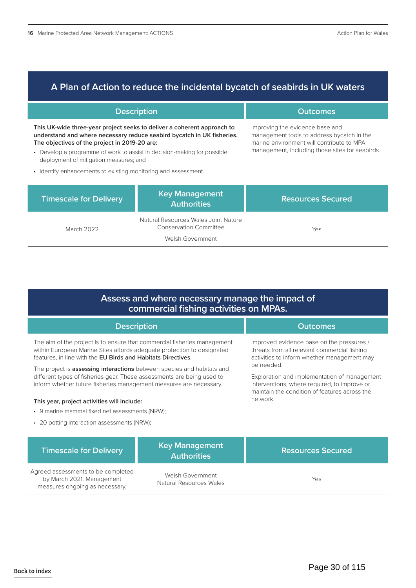## **A Plan of Action to reduce the incidental bycatch of seabirds in UK waters**

| <b>Description</b>                                                                                                                                                                                 |                                                                                           | <b>Outcomes</b>                                                                                                                                                               |  |
|----------------------------------------------------------------------------------------------------------------------------------------------------------------------------------------------------|-------------------------------------------------------------------------------------------|-------------------------------------------------------------------------------------------------------------------------------------------------------------------------------|--|
| This UK-wide three-year project seeks to deliver a coherent approach to<br>understand and where necessary reduce seabird bycatch in UK fisheries.<br>The objectives of the project in 2019-20 are: |                                                                                           | Improving the evidence base and<br>management tools to address bycatch in the<br>marine environment will contribute to MPA<br>management, including those sites for seabirds. |  |
| • Develop a programme of work to assist in decision-making for possible<br>deployment of mitigation measures; and                                                                                  |                                                                                           |                                                                                                                                                                               |  |
| • Identify enhancements to existing monitoring and assessment.                                                                                                                                     |                                                                                           |                                                                                                                                                                               |  |
| <b>Timescale for Delivery</b>                                                                                                                                                                      | <b>Key Management</b><br><b>Authorities</b>                                               | <b>Resources Secured</b>                                                                                                                                                      |  |
| March 2022                                                                                                                                                                                         | Natural Resources Wales Joint Nature<br><b>Conservation Committee</b><br>Welsh Government | Yes                                                                                                                                                                           |  |

## **Assess and where necessary manage the impact of commercial fishing activities on MPAs.**

| <b>Description</b>                                                                                                                                                                                                            | <b>Outcomes</b>                                                                                                                                             |  |
|-------------------------------------------------------------------------------------------------------------------------------------------------------------------------------------------------------------------------------|-------------------------------------------------------------------------------------------------------------------------------------------------------------|--|
| The aim of the project is to ensure that commercial fisheries management<br>within European Marine Sites affords adequate protection to designated<br>features, in line with the EU Birds and Habitats Directives.            | Improved evidence base on the pressures /<br>threats from all relevant commercial fishing<br>activities to inform whether management may                    |  |
| The project is <b>assessing interactions</b> between species and habitats and<br>different types of fisheries gear. These assessments are being used to<br>inform whether future fisheries management measures are necessary. | be needed.<br>Exploration and implementation of management<br>interventions, where required, to improve or<br>maintain the condition of features across the |  |
| This year, project activities will include:                                                                                                                                                                                   | network.                                                                                                                                                    |  |
| • 9 marine mammal fixed net assessments (NRW);                                                                                                                                                                                |                                                                                                                                                             |  |
| • 20 potting interaction assessments (NRW);                                                                                                                                                                                   |                                                                                                                                                             |  |

| Timescale for Delivery                                                                            | <b>Key Management</b><br><b>Authorities</b> | <b>Resources Secured</b> |
|---------------------------------------------------------------------------------------------------|---------------------------------------------|--------------------------|
| Agreed assessments to be completed<br>by March 2021. Management<br>measures ongoing as necessary. | Welsh Government<br>Natural Resources Wales | Yes                      |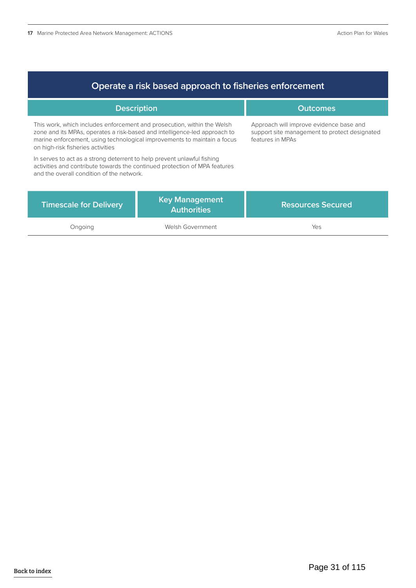| Operate a risk based approach to fisheries enforcement                                                                                                                                                                                                                |                                             |                                                                                                              |
|-----------------------------------------------------------------------------------------------------------------------------------------------------------------------------------------------------------------------------------------------------------------------|---------------------------------------------|--------------------------------------------------------------------------------------------------------------|
| <b>Description</b>                                                                                                                                                                                                                                                    |                                             | <b>Outcomes</b>                                                                                              |
| This work, which includes enforcement and prosecution, within the Welsh<br>zone and its MPAs, operates a risk-based and intelligence-led approach to<br>marine enforcement, using technological improvements to maintain a focus<br>on high-risk fisheries activities |                                             | Approach will improve evidence base and<br>support site management to protect designated<br>features in MPAs |
| In serves to act as a strong deterrent to help prevent unlawful fishing<br>activities and contribute towards the continued protection of MPA features<br>and the overall condition of the network.                                                                    |                                             |                                                                                                              |
| <b>Timescale for Delivery</b>                                                                                                                                                                                                                                         | <b>Key Management</b><br><b>Authorities</b> | <b>Resources Secured</b>                                                                                     |
| Ongoing                                                                                                                                                                                                                                                               | Welsh Government                            | Yes                                                                                                          |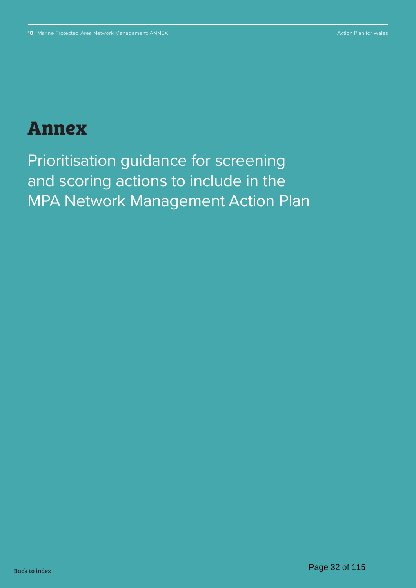## **Annex**

Prioritisation guidance for screening and scoring actions to include in the MPA Network Management Action Plan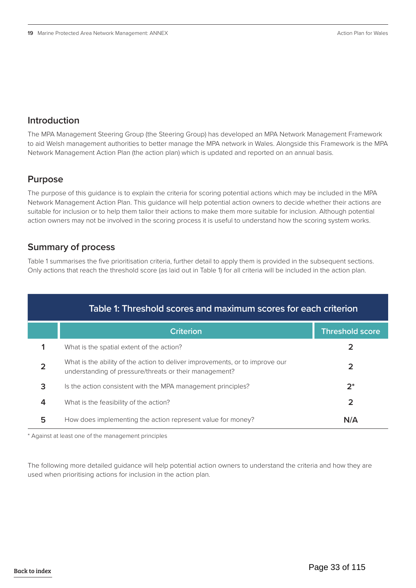## **Introduction**

The MPA Management Steering Group (the Steering Group) has developed an MPA Network Management Framework to aid Welsh management authorities to better manage the MPA network in Wales. Alongside this Framework is the MPA Network Management Action Plan (the action plan) which is updated and reported on an annual basis.

## **Purpose**

The purpose of this guidance is to explain the criteria for scoring potential actions which may be included in the MPA Network Management Action Plan. This guidance will help potential action owners to decide whether their actions are suitable for inclusion or to help them tailor their actions to make them more suitable for inclusion. Although potential action owners may not be involved in the scoring process it is useful to understand how the scoring system works.

## **Summary of process**

Table 1 summarises the five prioritisation criteria, further detail to apply them is provided in the subsequent sections. Only actions that reach the threshold score (as laid out in Table 1) for all criteria will be included in the action plan.

| Table 1: Threshold scores and maximum scores for each criterion |                                                                                                                                        |                        |
|-----------------------------------------------------------------|----------------------------------------------------------------------------------------------------------------------------------------|------------------------|
|                                                                 | <b>Criterion</b>                                                                                                                       | <b>Threshold score</b> |
|                                                                 | What is the spatial extent of the action?                                                                                              |                        |
| $\overline{2}$                                                  | What is the ability of the action to deliver improvements, or to improve our<br>understanding of pressure/threats or their management? | 2                      |
| 3                                                               | Is the action consistent with the MPA management principles?                                                                           | $2^*$                  |
| 4                                                               | What is the feasibility of the action?                                                                                                 | 2                      |
| 5                                                               | How does implementing the action represent value for money?                                                                            | N/A                    |

\* Against at least one of the management principles

The following more detailed guidance will help potential action owners to understand the criteria and how they are used when prioritising actions for inclusion in the action plan.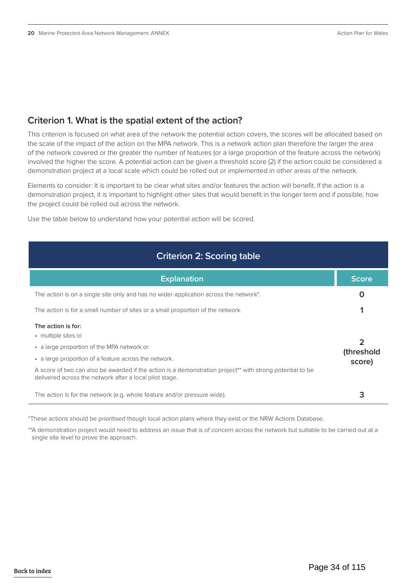## **Criterion 1. What is the spatial extent of the action?**

This criterion is focused on what area of the network the potential action covers, the scores will be allocated based on the scale of the impact of the action on the MPA network. This is a network action plan therefore the larger the area of the network covered or the greater the number of features (or a large proportion of the feature across the network) involved the higher the score. A potential action can be given a threshold score (2) if the action could be considered a demonstration project at a local scale which could be rolled out or implemented in other areas of the network.

Elements to consider: It is important to be clear what sites and/or features the action will benefit. If the action is a demonstration project, it is important to highlight other sites that would benefit in the longer term and if possible, how the project could be rolled out across the network.

Use the table below to understand how your potential action will be scored.

| <b>Criterion 2: Scoring table</b>                                                                                                                                                                                                                                                                                        |                           |
|--------------------------------------------------------------------------------------------------------------------------------------------------------------------------------------------------------------------------------------------------------------------------------------------------------------------------|---------------------------|
| <b>Explanation</b>                                                                                                                                                                                                                                                                                                       | <b>Score</b>              |
| The action is on a single site only and has no wider application across the network*.                                                                                                                                                                                                                                    | O                         |
| The action is for a small number of sites or a small proportion of the network.                                                                                                                                                                                                                                          |                           |
| The action is for:<br>• multiple sites or<br>• a large proportion of the MPA network or<br>• a large proportion of a feature across the network.<br>A score of two can also be awarded if the action is a demonstration project** with strong potential to be<br>delivered across the network after a local pilot stage. | っ<br>(threshold<br>score) |
| The action is for the network (e.g. whole feature and/or pressure wide).                                                                                                                                                                                                                                                 | 3                         |

<sup>\*</sup>These actions should be prioritised though local action plans where they exist or the NRW Actions Database.

\*\*A demonstration project would need to address an issue that is of concern across the network but suitable to be carried out at a single site level to prove the approach.

Back to index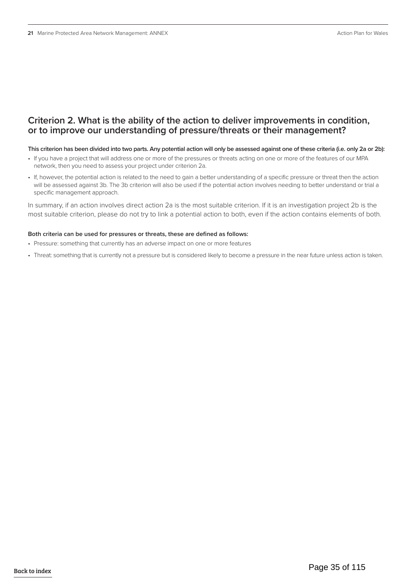## **Criterion 2. What is the ability of the action to deliver improvements in condition, or to improve our understanding of pressure/threats or their management?**

#### **This criterion has been divided into two parts. Any potential action will only be assessed against one of these criteria (i.e. only 2a or 2b):**

- If you have a project that will address one or more of the pressures or threats acting on one or more of the features of our MPA network, then you need to assess your project under criterion 2a.
- If, however, the potential action is related to the need to gain a better understanding of a specific pressure or threat then the action will be assessed against 3b. The 3b criterion will also be used if the potential action involves needing to better understand or trial a specific management approach.

In summary, if an action involves direct action 2a is the most suitable criterion. If it is an investigation project 2b is the most suitable criterion, please do not try to link a potential action to both, even if the action contains elements of both.

#### **Both criteria can be used for pressures or threats, these are defined as follows:**

- Pressure: something that currently has an adverse impact on one or more features
- Threat: something that is currently not a pressure but is considered likely to become a pressure in the near future unless action is taken.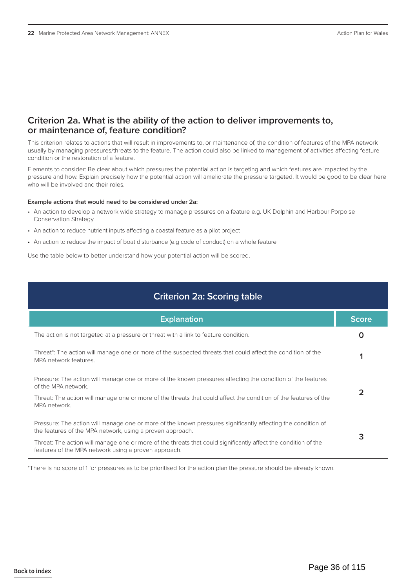## **Criterion 2a. What is the ability of the action to deliver improvements to, or maintenance of, feature condition?**

This criterion relates to actions that will result in improvements to, or maintenance of, the condition of features of the MPA network usually by managing pressures/threats to the feature. The action could also be linked to management of activities affecting feature condition or the restoration of a feature.

Elements to consider: Be clear about which pressures the potential action is targeting and which features are impacted by the pressure and how. Explain precisely how the potential action will ameliorate the pressure targeted. It would be good to be clear here who will be involved and their roles.

#### **Example actions that would need to be considered under 2a:**

- An action to develop a network wide strategy to manage pressures on a feature e.g. UK Dolphin and Harbour Porpoise Conservation Strategy.
- An action to reduce nutrient inputs affecting a coastal feature as a pilot project
- An action to reduce the impact of boat disturbance (e.g code of conduct) on a whole feature

Use the table below to better understand how your potential action will be scored.

| <b>Criterion 2a: Scoring table</b>                                                                                                                                        |              |
|---------------------------------------------------------------------------------------------------------------------------------------------------------------------------|--------------|
| <b>Explanation</b>                                                                                                                                                        | <b>Score</b> |
| The action is not targeted at a pressure or threat with a link to feature condition.                                                                                      | O            |
| Threat*: The action will manage one or more of the suspected threats that could affect the condition of the<br>MPA network features.                                      |              |
| Pressure: The action will manage one or more of the known pressures affecting the condition of the features<br>of the MPA network.                                        |              |
| Threat: The action will manage one or more of the threats that could affect the condition of the features of the<br>MPA network.                                          |              |
| Pressure: The action will manage one or more of the known pressures significantly affecting the condition of<br>the features of the MPA network, using a proven approach. | 3            |
| Threat: The action will manage one or more of the threats that could significantly affect the condition of the<br>features of the MPA network using a proven approach.    |              |

\*There is no score of 1 for pressures as to be prioritised for the action plan the pressure should be already known.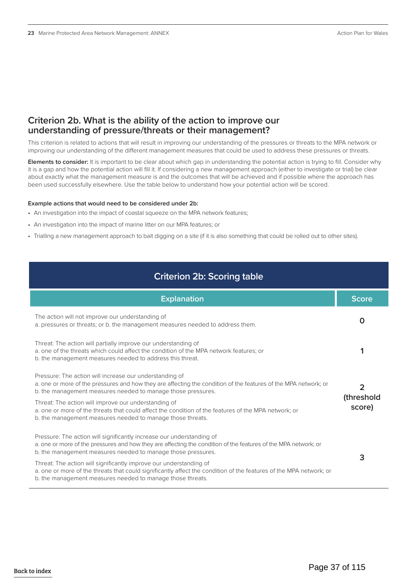### **Criterion 2b. What is the ability of the action to improve our understanding of pressure/threats or their management?**

This criterion is related to actions that will result in improving our understanding of the pressures or threats to the MPA network or improving our understanding of the different management measures that could be used to address these pressures or threats.

**Elements to consider:** It is important to be clear about which gap in understanding the potential action is trying to fill. Consider why it is a gap and how the potential action will fill it. If considering a new management approach (either to investigate or trial) be clear about exactly what the management measure is and the outcomes that will be achieved and if possible where the approach has been used successfully elsewhere. Use the table below to understand how your potential action will be scored.

#### **Example actions that would need to be considered under 2b:**

- An investigation into the impact of coastal squeeze on the MPA network features;
- An investigation into the impact of marine litter on our MPA features; or
- Trialling a new management approach to bait digging on a site (if it is also something that could be rolled out to other sites).

## **Criterion 2b: Scoring table**

| <b>Explanation</b>                                                                                                                                                                                                                                       | <b>Score</b>         |
|----------------------------------------------------------------------------------------------------------------------------------------------------------------------------------------------------------------------------------------------------------|----------------------|
| The action will not improve our understanding of<br>a. pressures or threats; or b. the management measures needed to address them.                                                                                                                       | O                    |
| Threat: The action will partially improve our understanding of<br>a, one of the threats which could affect the condition of the MPA network features; or<br>b. the management measures needed to address this threat.                                    |                      |
| Pressure: The action will increase our understanding of<br>a. one or more of the pressures and how they are affecting the condition of the features of the MPA network; or<br>b. the management measures needed to manage those pressures.               | 2                    |
| Threat: The action will improve our understanding of<br>a, one or more of the threats that could affect the condition of the features of the MPA network; or<br>b. the management measures needed to manage those threats.                               | (threshold<br>score) |
| Pressure: The action will significantly increase our understanding of<br>a. one or more of the pressures and how they are affecting the condition of the features of the MPA network; or<br>b. the management measures needed to manage those pressures. |                      |
| Threat: The action will significantly improve our understanding of<br>a. one or more of the threats that could significantly affect the condition of the features of the MPA network; or<br>b. the management measures needed to manage those threats.   | 3                    |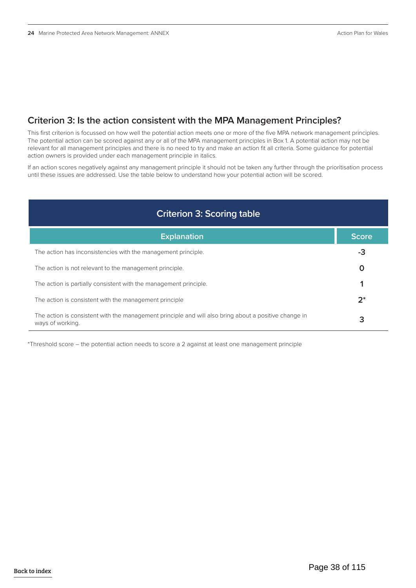## **Criterion 3: Is the action consistent with the MPA Management Principles?**

This first criterion is focussed on how well the potential action meets one or more of the five MPA network management principles. The potential action can be scored against any or all of the MPA management principles in Box 1. A potential action may not be relevant for all management principles and there is no need to try and make an action fit all criteria. Some guidance for potential action owners is provided under each management principle in italics.

If an action scores negatively against any management principle it should not be taken any further through the prioritisation process until these issues are addressed. Use the table below to understand how your potential action will be scored.

## **Criterion 3: Scoring table**

| <b>Explanation</b>                                                                                                        | 'Score. |
|---------------------------------------------------------------------------------------------------------------------------|---------|
| The action has inconsistencies with the management principle.                                                             | -3      |
| The action is not relevant to the management principle.                                                                   |         |
| The action is partially consistent with the management principle.                                                         |         |
| The action is consistent with the management principle                                                                    | $2^*$   |
| The action is consistent with the management principle and will also bring about a positive change in<br>ways of working. |         |

\*Threshold score – the potential action needs to score a 2 against at least one management principle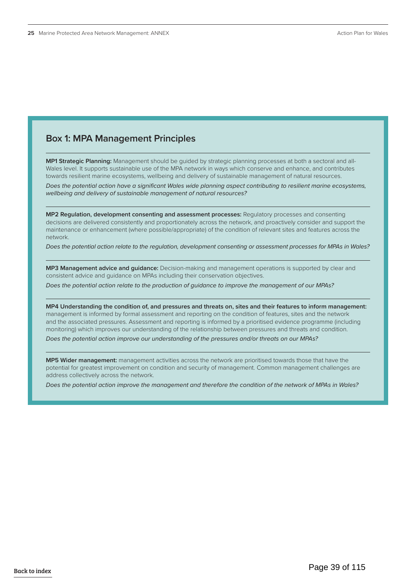### **Box 1: MPA Management Principles**

**MP1 Strategic Planning:** Management should be guided by strategic planning processes at both a sectoral and all-Wales level. It supports sustainable use of the MPA network in ways which conserve and enhance, and contributes towards resilient marine ecosystems, wellbeing and delivery of sustainable management of natural resources.

*Does the potential action have a significant Wales wide planning aspect contributing to resilient marine ecosystems, wellbeing and delivery of sustainable management of natural resources?*

**MP2 Regulation, development consenting and assessment processes:** Regulatory processes and consenting decisions are delivered consistently and proportionately across the network, and proactively consider and support the maintenance or enhancement (where possible/appropriate) of the condition of relevant sites and features across the network.

*Does the potential action relate to the regulation, development consenting or assessment processes for MPAs in Wales?*

**MP3 Management advice and guidance:** Decision-making and management operations is supported by clear and consistent advice and guidance on MPAs including their conservation objectives.

*Does the potential action relate to the production of guidance to improve the management of our MPAs?* 

**MP4 Understanding the condition of, and pressures and threats on, sites and their features to inform management:**  management is informed by formal assessment and reporting on the condition of features, sites and the network and the associated pressures. Assessment and reporting is informed by a prioritised evidence programme (including monitoring) which improves our understanding of the relationship between pressures and threats and condition.

*Does the potential action improve our understanding of the pressures and/or threats on our MPAs?* 

**MP5 Wider management:** management activities across the network are prioritised towards those that have the potential for greatest improvement on condition and security of management. Common management challenges are address collectively across the network.

*Does the potential action improve the management and therefore the condition of the network of MPAs in Wales?*